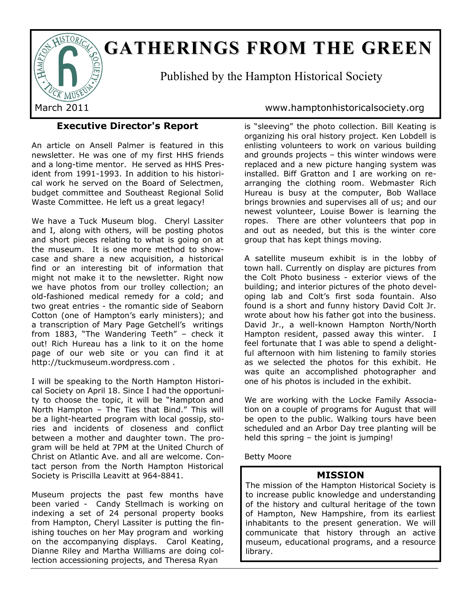

# **GATHERINGS FROM THE GREEN**

Published by the Hampton Historical Society

### **Executive Director's Report**

An article on Ansell Palmer is featured in this newsletter. He was one of my first HHS friends and a long-time mentor. He served as HHS President from 1991-1993. In addition to his historical work he served on the Board of Selectmen, budget committee and Southeast Regional Solid Waste Committee. He left us a great legacy!

We have a Tuck Museum blog. Cheryl Lassiter and I, along with others, will be posting photos and short pieces relating to what is going on at the museum. It is one more method to showcase and share a new acquisition, a historical find or an interesting bit of information that might not make it to the newsletter. Right now we have photos from our trolley collection; an old-fashioned medical remedy for a cold; and two great entries - the romantic side of Seaborn Cotton (one of Hampton's early ministers); and a transcription of Mary Page Getchell's writings from 1883, "The Wandering Teeth" – check it out! Rich Hureau has a link to it on the home page of our web site or you can find it at http://tuckmuseum.wordpress.com .

I will be speaking to the North Hampton Historical Society on April 18. Since I had the opportunity to choose the topic, it will be "Hampton and North Hampton – The Ties that Bind." This will be a light-hearted program with local gossip, stories and incidents of closeness and conflict between a mother and daughter town. The program will be held at 7PM at the United Church of Christ on Atlantic Ave. and all are welcome. Contact person from the North Hampton Historical Society is Priscilla Leavitt at 964-8841.

Museum projects the past few months have been varied - Candy Stellmach is working on indexing a set of 24 personal property books from Hampton, Cheryl Lassiter is putting the finishing touches on her May program and working on the accompanying displays. Carol Keating, Dianne Riley and Martha Williams are doing collection accessioning projects, and Theresa Ryan

#### March 2011 www.hamptonhistoricalsociety.org

is "sleeving" the photo collection. Bill Keating is organizing his oral history project. Ken Lobdell is enlisting volunteers to work on various building and grounds projects – this winter windows were replaced and a new picture hanging system was installed. Biff Gratton and I are working on rearranging the clothing room. Webmaster Rich Hureau is busy at the computer, Bob Wallace brings brownies and supervises all of us; and our newest volunteer, Louise Bower is learning the ropes. There are other volunteers that pop in and out as needed, but this is the winter core group that has kept things moving.

A satellite museum exhibit is in the lobby of town hall. Currently on display are pictures from the Colt Photo business - exterior views of the building; and interior pictures of the photo developing lab and Colt's first soda fountain. Also found is a short and funny history David Colt Jr. wrote about how his father got into the business. David Jr., a well-known Hampton North/North Hampton resident, passed away this winter. I feel fortunate that I was able to spend a delightful afternoon with him listening to family stories as we selected the photos for this exhibit. He was quite an accomplished photographer and one of his photos is included in the exhibit.

We are working with the Locke Family Association on a couple of programs for August that will be open to the public. Walking tours have been scheduled and an Arbor Day tree planting will be held this spring – the joint is jumping!

Betty Moore

#### **MISSION**

The mission of the Hampton Historical Society is to increase public knowledge and understanding of the history and cultural heritage of the town of Hampton, New Hampshire, from its earliest inhabitants to the present generation. We will communicate that history through an active museum, educational programs, and a resource library.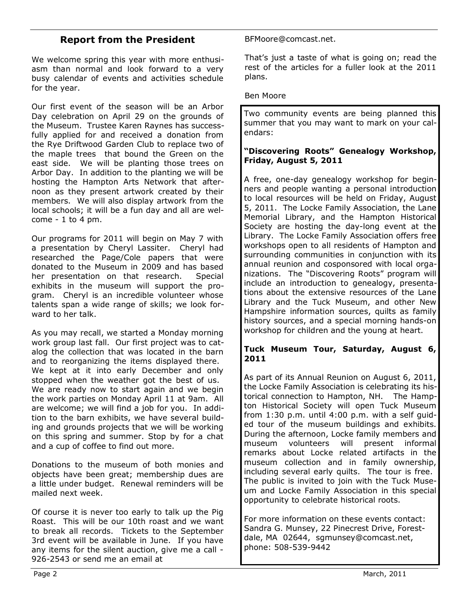#### **Report from the President**

We welcome spring this year with more enthusiasm than normal and look forward to a very busy calendar of events and activities schedule for the year.

Our first event of the season will be an Arbor Day celebration on April 29 on the grounds of the Museum. Trustee Karen Raynes has successfully applied for and received a donation from the Rye Driftwood Garden Club to replace two of the maple trees that bound the Green on the east side. We will be planting those trees on Arbor Day. In addition to the planting we will be hosting the Hampton Arts Network that afternoon as they present artwork created by their members. We will also display artwork from the local schools; it will be a fun day and all are welcome - 1 to 4 pm.

Our programs for 2011 will begin on May 7 with a presentation by Cheryl Lassiter. Cheryl had researched the Page/Cole papers that were donated to the Museum in 2009 and has based her presentation on that research. Special exhibits in the museum will support the program. Cheryl is an incredible volunteer whose talents span a wide range of skills; we look forward to her talk.

As you may recall, we started a Monday morning work group last fall. Our first project was to catalog the collection that was located in the barn and to reorganizing the items displayed there. We kept at it into early December and only stopped when the weather got the best of us. We are ready now to start again and we begin the work parties on Monday April 11 at 9am. All are welcome; we will find a job for you. In addition to the barn exhibits, we have several building and grounds projects that we will be working on this spring and summer. Stop by for a chat and a cup of coffee to find out more.

Donations to the museum of both monies and objects have been great; membership dues are a little under budget. Renewal reminders will be mailed next week.

Of course it is never too early to talk up the Pig Roast. This will be our 10th roast and we want to break all records. Tickets to the September 3rd event will be available in June. If you have any items for the silent auction, give me a call - 926-2543 or send me an email at

BFMoore@comcast.net.

That's just a taste of what is going on; read the rest of the articles for a fuller look at the 2011 plans.

Ben Moore

Two community events are being planned this summer that you may want to mark on your calendars:

#### **"Discovering Roots" Genealogy Workshop, Friday, August 5, 2011**

A free, one-day genealogy workshop for beginners and people wanting a personal introduction to local resources will be held on Friday, August 5, 2011. The Locke Family Association, the Lane Memorial Library, and the Hampton Historical Society are hosting the day-long event at the Library. The Locke Family Association offers free workshops open to all residents of Hampton and surrounding communities in conjunction with its annual reunion and cosponsored with local organizations. The "Discovering Roots" program will include an introduction to genealogy, presentations about the extensive resources of the Lane Library and the Tuck Museum, and other New Hampshire information sources, quilts as family history sources, and a special morning hands-on workshop for children and the young at heart.

#### **Tuck Museum Tour, Saturday, August 6, 2011**

As part of its Annual Reunion on August 6, 2011, the Locke Family Association is celebrating its historical connection to Hampton, NH. The Hampton Historical Society will open Tuck Museum from 1:30 p.m. until 4:00 p.m. with a self guided tour of the museum buildings and exhibits. During the afternoon, Locke family members and museum volunteers will present informal remarks about Locke related artifacts in the museum collection and in family ownership, including several early quilts. The tour is free. The public is invited to join with the Tuck Museum and Locke Family Association in this special opportunity to celebrate historical roots.

For more information on these events contact: Sandra G. Munsey, 22 Pinecrest Drive, Forestdale, MA 02644, sgmunsey@comcast.net, phone: 508-539-9442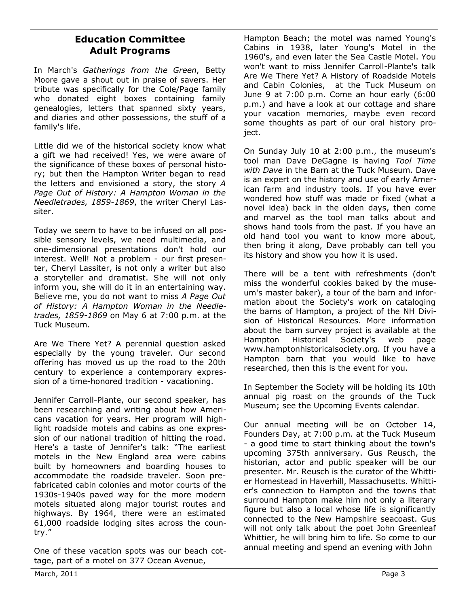#### **Education Committee Adult Programs**

In March's *Gatherings from the Green*, Betty Moore gave a shout out in praise of savers. Her tribute was specifically for the Cole/Page family who donated eight boxes containing family genealogies, letters that spanned sixty years, and diaries and other possessions, the stuff of a family's life.

Little did we of the historical society know what a gift we had received! Yes, we were aware of the significance of these boxes of personal history; but then the Hampton Writer began to read the letters and envisioned a story, the story *A Page Out of History: A Hampton Woman in the Needletrades, 1859-1869*, the writer Cheryl Lassiter.

Today we seem to have to be infused on all possible sensory levels, we need multimedia, and one-dimensional presentations don't hold our interest. Well! Not a problem - our first presenter, Cheryl Lassiter, is not only a writer but also a storyteller and dramatist. She will not only inform you, she will do it in an entertaining way. Believe me, you do not want to miss *A Page Out of History: A Hampton Woman in the Needletrades, 1859-1869* on May 6 at 7:00 p.m. at the Tuck Museum.

Are We There Yet? A perennial question asked especially by the young traveler. Our second offering has moved us up the road to the 20th century to experience a contemporary expression of a time-honored tradition - vacationing.

Jennifer Carroll-Plante, our second speaker, has been researching and writing about how Americans vacation for years. Her program will highlight roadside motels and cabins as one expression of our national tradition of hitting the road. Here's a taste of Jennifer's talk: "The earliest motels in the New England area were cabins built by homeowners and boarding houses to accommodate the roadside traveler. Soon prefabricated cabin colonies and motor courts of the 1930s-1940s paved way for the more modern motels situated along major tourist routes and highways. By 1964, there were an estimated 61,000 roadside lodging sites across the country."

One of these vacation spots was our beach cottage, part of a motel on 377 Ocean Avenue,

Hampton Beach; the motel was named Young's Cabins in 1938, later Young's Motel in the 1960's, and even later the Sea Castle Motel. You won't want to miss Jennifer Carroll-Plante's talk Are We There Yet? A History of Roadside Motels and Cabin Colonies, at the Tuck Museum on June 9 at 7:00 p.m. Come an hour early (6:00 p.m.) and have a look at our cottage and share your vacation memories, maybe even record some thoughts as part of our oral history project.

On Sunday July 10 at 2:00 p.m., the museum's tool man Dave DeGagne is having *Tool Time with Dave* in the Barn at the Tuck Museum. Dave is an expert on the history and use of early American farm and industry tools. If you have ever wondered how stuff was made or fixed (what a novel idea) back in the olden days, then come and marvel as the tool man talks about and shows hand tools from the past. If you have an old hand tool you want to know more about, then bring it along, Dave probably can tell you its history and show you how it is used.

There will be a tent with refreshments (don't miss the wonderful cookies baked by the museum's master baker), a tour of the barn and information about the Society's work on cataloging the barns of Hampton, a project of the NH Division of Historical Resources. More information about the barn survey project is available at the Hampton Historical Society's web page www.hamptonhistoricalsociety.org. If you have a Hampton barn that you would like to have researched, then this is the event for you.

In September the Society will be holding its 10th annual pig roast on the grounds of the Tuck Museum; see the Upcoming Events calendar.

Our annual meeting will be on October 14, Founders Day, at 7:00 p.m. at the Tuck Museum - a good time to start thinking about the town's upcoming 375th anniversary. Gus Reusch, the historian, actor and public speaker will be our presenter. Mr. Reusch is the curator of the Whittier Homestead in Haverhill, Massachusetts. Whittier's connection to Hampton and the towns that surround Hampton make him not only a literary figure but also a local whose life is significantly connected to the New Hampshire seacoast. Gus will not only talk about the poet John Greenleaf Whittier, he will bring him to life. So come to our annual meeting and spend an evening with John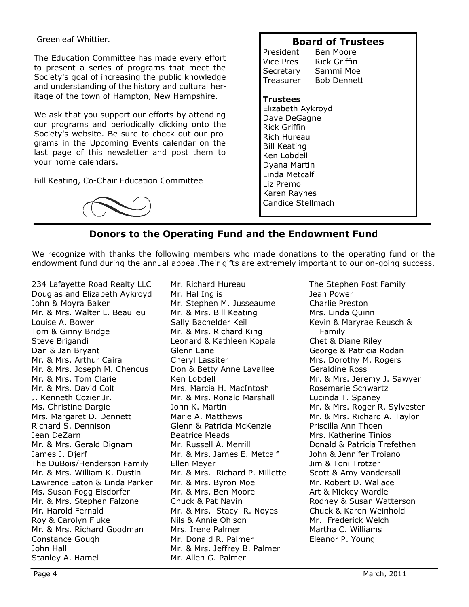#### Greenleaf Whittier.

The Education Committee has made every effort to present a series of programs that meet the Society's goal of increasing the public knowledge and understanding of the history and cultural heritage of the town of Hampton, New Hampshire.

We ask that you support our efforts by attending our programs and periodically clicking onto the Society's website. Be sure to check out our programs in the Upcoming Events calendar on the last page of this newsletter and post them to your home calendars.

Bill Keating, Co-Chair Education Committee

#### **Board of Trustees**

President Ben Moore Vice Pres Rick Griffin Secretary Sammi Moe Treasurer Bob Dennett

#### **Trustees**

Elizabeth Aykroyd Dave DeGagne Rick Griffin Rich Hureau Bill Keating Ken Lobdell Dyana Martin Linda Metcalf Liz Premo Karen Raynes Candice Stellmach

### **Donors to the Operating Fund and the Endowment Fund**

We recognize with thanks the following members who made donations to the operating fund or the endowment fund during the annual appeal.Their gifts are extremely important to our on-going success.

234 Lafayette Road Realty LLC Douglas and Elizabeth Aykroyd John & Moyra Baker Mr. & Mrs. Walter L. Beaulieu Louise A. Bower Tom & Ginny Bridge Steve Brigandi Dan & Jan Bryant Mr. & Mrs. Arthur Caira Mr. & Mrs. Joseph M. Chencus Mr. & Mrs. Tom Clarie Mr. & Mrs. David Colt J. Kenneth Cozier Jr. Ms. Christine Dargie Mrs. Margaret D. Dennett Richard S. Dennison Jean DeZarn Mr. & Mrs. Gerald Dignam James J. Djerf The DuBois/Henderson Family Mr. & Mrs. William K. Dustin Lawrence Eaton & Linda Parker Ms. Susan Fogg Eisdorfer Mr. & Mrs. Stephen Falzone Mr. Harold Fernald Roy & Carolyn Fluke Mr. & Mrs. Richard Goodman Constance Gough John Hall Stanley A. Hamel

Mr. Richard Hureau Mr. Hal Inglis Mr. Stephen M. Jusseaume Mr. & Mrs. Bill Keating Sally Bachelder Keil Mr. & Mrs. Richard King Leonard & Kathleen Kopala Glenn Lane Cheryl Lassiter Don & Betty Anne Lavallee Ken Lobdell Mrs. Marcia H. MacIntosh Mr. & Mrs. Ronald Marshall John K. Martin Marie A. Matthews Glenn & Patricia McKenzie Beatrice Meads Mr. Russell A. Merrill Mr. & Mrs. James E. Metcalf Ellen Meyer Mr. & Mrs. Richard P. Millette Mr. & Mrs. Byron Moe Mr. & Mrs. Ben Moore Chuck & Pat Navin Mr. & Mrs. Stacy R. Noyes Nils & Annie Ohlson Mrs. Irene Palmer Mr. Donald R. Palmer Mr. & Mrs. Jeffrey B. Palmer Mr. Allen G. Palmer

The Stephen Post Family Jean Power Charlie Preston Mrs. Linda Quinn Kevin & Maryrae Reusch & Family Chet & Diane Riley George & Patricia Rodan Mrs. Dorothy M. Rogers Geraldine Ross Mr. & Mrs. Jeremy J. Sawyer Rosemarie Schwartz Lucinda T. Spaney Mr. & Mrs. Roger R. Sylvester Mr. & Mrs. Richard A. Taylor Priscilla Ann Thoen Mrs. Katherine Tinios Donald & Patricia Trefethen John & Jennifer Troiano Jim & Toni Trotzer Scott & Amy Vandersall Mr. Robert D. Wallace Art & Mickey Wardle Rodney & Susan Watterson Chuck & Karen Weinhold Mr. Frederick Welch Martha C. Williams Eleanor P. Young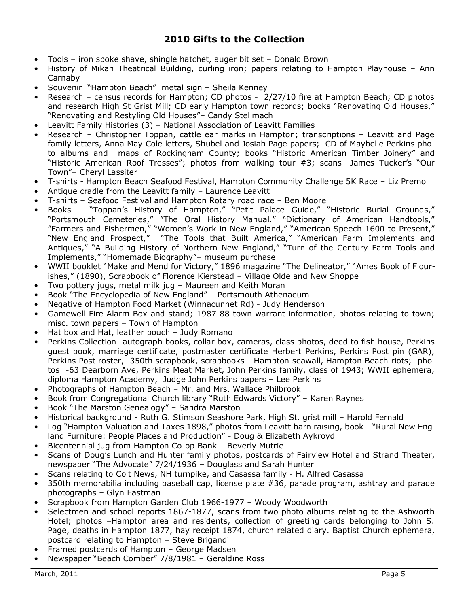# **2010 Gifts to the Collection**

- Tools iron spoke shave, shingle hatchet, auger bit set Donald Brown
- History of Mikan Theatrical Building, curling iron; papers relating to Hampton Playhouse Ann Carnaby
- Souvenir "Hampton Beach" metal sign Sheila Kenney
- Research census records for Hampton; CD photos 2/27/10 fire at Hampton Beach; CD photos and research High St Grist Mill; CD early Hampton town records; books "Renovating Old Houses," "Renovating and Restyling Old Houses"– Candy Stellmach
- Leavitt Family Histories (3) National Association of Leavitt Families
- Research Christopher Toppan, cattle ear marks in Hampton; transcriptions Leavitt and Page family letters, Anna May Cole letters, Shubel and Josiah Page papers; CD of Maybelle Perkins photo albums and maps of Rockingham County; books "Historic American Timber Joinery" and "Historic American Roof Tresses"; photos from walking tour #3; scans- James Tucker's "Our Town"– Cheryl Lassiter
- T-shirts Hampton Beach Seafood Festival, Hampton Community Challenge 5K Race Liz Premo
- Antique cradle from the Leavitt family Laurence Leavitt
- T-shirts Seafood Festival and Hampton Rotary road race Ben Moore
- Books "Toppan's History of Hampton," "Petit Palace Guide," "Historic Burial Grounds," "Portsmouth Cemeteries," "The Oral History Manual." "Dictionary of American Handtools," "Farmers and Fishermen," "Women's Work in New England," "American Speech 1600 to Present," "New England Prospect," "The Tools that Built America," "American Farm Implements and Antiques," "A Building History of Northern New England," "Turn of the Century Farm Tools and Implements," "Homemade Biography"– museum purchase
- WWII booklet "Make and Mend for Victory," 1896 magazine "The Delineator," "Ames Book of Flourishes," (1890), Scrapbook of Florence Kierstead – Village Olde and New Shoppe
- Two pottery jugs, metal milk jug Maureen and Keith Moran
- Book "The Encyclopedia of New England" Portsmouth Athenaeum
- Negative of Hampton Food Market (Winnacunnet Rd) Judy Henderson
- Gamewell Fire Alarm Box and stand; 1987-88 town warrant information, photos relating to town; misc. town papers – Town of Hampton
- Hat box and Hat, leather pouch Judy Romano
- Perkins Collection- autograph books, collar box, cameras, class photos, deed to fish house, Perkins guest book, marriage certificate, postmaster certificate Herbert Perkins, Perkins Post pin (GAR), Perkins Post roster, 350th scrapbook, scrapbooks - Hampton seawall, Hampton Beach riots; photos -63 Dearborn Ave, Perkins Meat Market, John Perkins family, class of 1943; WWII ephemera, diploma Hampton Academy, Judge John Perkins papers – Lee Perkins
- Photographs of Hampton Beach Mr. and Mrs. Wallace Philbrook
- Book from Congregational Church library "Ruth Edwards Victory" Karen Raynes
- Book "The Marston Genealogy" Sandra Marston
- Historical background Ruth G. Stimson Seashore Park, High St. grist mill Harold Fernald
- Log "Hampton Valuation and Taxes 1898," photos from Leavitt barn raising, book "Rural New England Furniture: People Places and Production" - Doug & Elizabeth Aykroyd
- Bicentennial jug from Hampton Co-op Bank Beverly Mutrie
- Scans of Doug's Lunch and Hunter family photos, postcards of Fairview Hotel and Strand Theater, newspaper "The Advocate" 7/24/1936 – Douglass and Sarah Hunter
- Scans relating to Colt News, NH turnpike, and Casassa family H. Alfred Casassa
- 350th memorabilia including baseball cap, license plate #36, parade program, ashtray and parade photographs – Glyn Eastman
- Scrapbook from Hampton Garden Club 1966-1977 Woody Woodworth
- Selectmen and school reports 1867-1877, scans from two photo albums relating to the Ashworth Hotel; photos –Hampton area and residents, collection of greeting cards belonging to John S. Page, deaths in Hampton 1877, hay receipt 1874, church related diary. Baptist Church ephemera, postcard relating to Hampton – Steve Brigandi
- Framed postcards of Hampton George Madsen
- Newspaper "Beach Comber" 7/8/1981 Geraldine Ross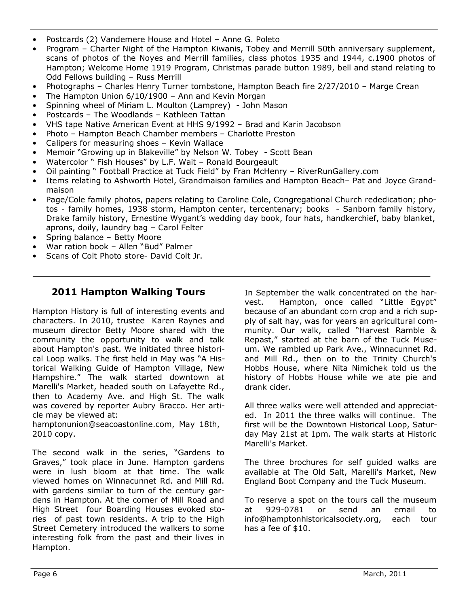- Postcards (2) Vandemere House and Hotel Anne G. Poleto
- Program Charter Night of the Hampton Kiwanis, Tobey and Merrill 50th anniversary supplement, scans of photos of the Noyes and Merrill families, class photos 1935 and 1944, c.1900 photos of Hampton; Welcome Home 1919 Program, Christmas parade button 1989, bell and stand relating to Odd Fellows building – Russ Merrill
- Photographs Charles Henry Turner tombstone, Hampton Beach fire 2/27/2010 Marge Crean
- The Hampton Union 6/10/1900 Ann and Kevin Morgan
- Spinning wheel of Miriam L. Moulton (Lamprey) John Mason
- Postcards The Woodlands Kathleen Tattan
- VHS tape Native American Event at HHS 9/1992 Brad and Karin Jacobson
- Photo Hampton Beach Chamber members Charlotte Preston
- Calipers for measuring shoes Kevin Wallace
- Memoir "Growing up in Blakeville" by Nelson W. Tobey Scott Bean
- Watercolor " Fish Houses" by L.F. Wait Ronald Bourgeault
- Oil painting " Football Practice at Tuck Field" by Fran McHenry RiverRunGallery.com
- Items relating to Ashworth Hotel, Grandmaison families and Hampton Beach– Pat and Joyce Grandmaison
- Page/Cole family photos, papers relating to Caroline Cole, Congregational Church rededication; photos - family homes, 1938 storm, Hampton center, tercentenary; books - Sanborn family history, Drake family history, Ernestine Wygant's wedding day book, four hats, handkerchief, baby blanket, aprons, doily, laundry bag – Carol Felter
- Spring balance Betty Moore
- War ration book Allen "Bud" Palmer
- Scans of Colt Photo store- David Colt Jr.

#### **2011 Hampton Walking Tours**

Hampton History is full of interesting events and characters. In 2010, trustee Karen Raynes and museum director Betty Moore shared with the community the opportunity to walk and talk about Hampton's past. We initiated three historical Loop walks. The first held in May was "A Historical Walking Guide of Hampton Village, New Hampshire." The walk started downtown at Marelli's Market, headed south on Lafayette Rd., then to Academy Ave. and High St. The walk was covered by reporter Aubry Bracco. Her article may be viewed at:

hamptonunion@seacoastonline.com, May 18th, 2010 copy.

The second walk in the series, "Gardens to Graves," took place in June. Hampton gardens were in lush bloom at that time. The walk viewed homes on Winnacunnet Rd. and Mill Rd. with gardens similar to turn of the century gardens in Hampton. At the corner of Mill Road and High Street four Boarding Houses evoked stories of past town residents. A trip to the High Street Cemetery introduced the walkers to some interesting folk from the past and their lives in Hampton.

In September the walk concentrated on the harvest. Hampton, once called "Little Egypt" because of an abundant corn crop and a rich supply of salt hay, was for years an agricultural community. Our walk, called "Harvest Ramble & Repast," started at the barn of the Tuck Museum. We rambled up Park Ave., Winnacunnet Rd. and Mill Rd., then on to the Trinity Church's Hobbs House, where Nita Nimichek told us the history of Hobbs House while we ate pie and drank cider.

All three walks were well attended and appreciated. In 2011 the three walks will continue. The first will be the Downtown Historical Loop, Saturday May 21st at 1pm. The walk starts at Historic Marelli's Market.

The three brochures for self guided walks are available at The Old Salt, Marelli's Market, New England Boot Company and the Tuck Museum.

To reserve a spot on the tours call the museum at 929-0781 or send an email to info@hamptonhistoricalsociety.org, each tour has a fee of \$10.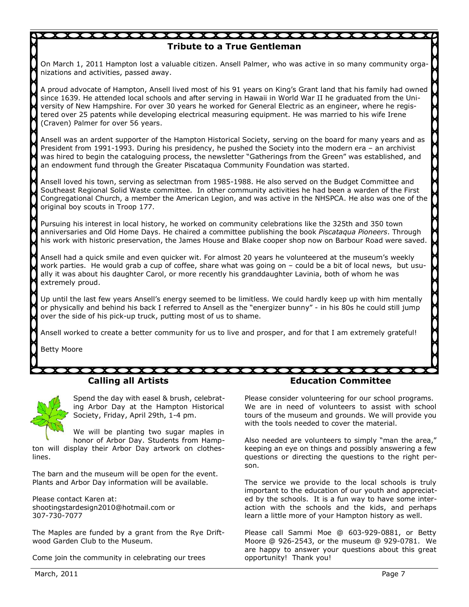# **Tribute to a True Gentleman** On March 1, 2011 Hampton lost a valuable citizen. Ansell Palmer, who was active in so many community organizations and activities, passed away. A proud advocate of Hampton, Ansell lived most of his 91 years on King's Grant land that his family had owned since 1639. He attended local schools and after serving in Hawaii in World War II he graduated from the University of New Hampshire. For over 30 years he worked for General Electric as an engineer, where he registered over 25 patents while developing electrical measuring equipment. He was married to his wife Irene (Craven) Palmer for over 56 years. Ansell was an ardent supporter of the Hampton Historical Society, serving on the board for many years and as President from 1991-1993. During his presidency, he pushed the Society into the modern era – an archivist was hired to begin the cataloguing process, the newsletter "Gatherings from the Green" was established, and an endowment fund through the Greater Piscataqua Community Foundation was started. Ansell loved his town, serving as selectman from 1985-1988. He also served on the Budget Committee and Southeast Regional Solid Waste committee. In other community activities he had been a warden of the First Congregational Church, a member the American Legion, and was active in the NHSPCA. He also was one of the \] original boy scouts in Troop 177. Pursuing his interest in local history, he worked on community celebrations like the 325th and 350 town anniversaries and Old Home Days. He chaired a committee publishing the book *Piscataqua Pioneers*. Through his work with historic preservation, the James House and Blake cooper shop now on Barbour Road were saved. Ansell had a quick smile and even quicker wit. For almost 20 years he volunteered at the museum's weekly work parties. He would grab a cup of coffee, share what was going on – could be a bit of local news, but usually it was about his daughter Carol, or more recently his granddaughter Lavinia, both of whom he was extremely proud. Up until the last few years Ansell's energy seemed to be limitless. We could hardly keep up with him mentally or physically and behind his back I referred to Ansell as the "energizer bunny" - in his 80s he could still jump over the side of his pick-up truck, putting most of us to shame. Ansell worked to create a better community for us to live and prosper, and for that I am extremely grateful! Betty Moore

Spend the day with easel & brush, celebrating Arbor Day at the Hampton Historical Society, Friday, April 29th, 1-4 pm.

We will be planting two sugar maples in honor of Arbor Day. Students from Hampton will display their Arbor Day artwork on clotheslines.

**Calling all Artists**

The barn and the museum will be open for the event. Plants and Arbor Day information will be available.

Please contact Karen at: shootingstardesign2010@hotmail.com or 307-730-7077

The Maples are funded by a grant from the Rye Driftwood Garden Club to the Museum.

Come join the community in celebrating our trees

#### **Education Committee**

Please consider volunteering for our school programs. We are in need of volunteers to assist with school tours of the museum and grounds. We will provide you with the tools needed to cover the material.

Also needed are volunteers to simply "man the area," keeping an eye on things and possibly answering a few questions or directing the questions to the right person.

The service we provide to the local schools is truly important to the education of our youth and appreciated by the schools. It is a fun way to have some interaction with the schools and the kids, and perhaps learn a little more of your Hampton history as well.

Please call Sammi Moe @ 603-929-0881, or Betty Moore @ 926-2543, or the museum @ 929-0781. We are happy to answer your questions about this great opportunity! Thank you!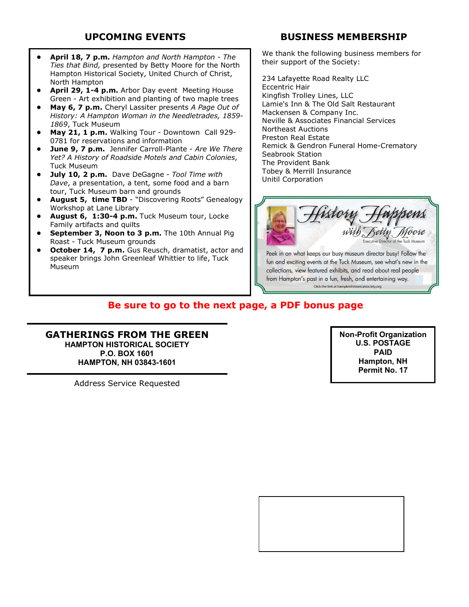- **April 18, 7 p.m.** *Hampton and North Hampton The Ties that Bind,* presented by Betty Moore for the North Hampton Historical Society, United Church of Christ, North Hampton
- April 29, 1-4 p.m. Arbor Day event Meeting House Green - Art exhibition and planting of two maple trees
- **May 6, 7 p.m.** Cheryl Lassiter presents *A Page Out of History: A Hampton Woman in the Needletrades, 1859- 1869*, Tuck Museum
- **May 21, 1 p.m.** Walking Tour Downtown Call 929- 0781 for reservations and information
- **June 9, 7 p.m.** Jennifer Carroll-Plante *Are We There Yet? A History of Roadside Motels and Cabin Colonies*, Tuck Museum
- **July 10, 2 p.m.** Dave DeGagne *Tool Time with Dave*, a presentation, a tent, some food and a barn tour, Tuck Museum barn and grounds
- **August 5, time TBD** "Discovering Roots" Genealogy Workshop at Lane Library
- **August 6, 1:30-4 p.m.** Tuck Museum tour, Locke Family artifacts and quilts
- **September 3, Noon to 3 p.m.** The 10th Annual Pig Roast - Tuck Museum grounds
- **October 14, 7 p.m.** Gus Reusch, dramatist, actor and speaker brings John Greenleaf Whittier to life, Tuck Museum

# **UPCOMING EVENTS BUSINESS MEMBERSHIP**

We thank the following business members for their support of the Society:

234 Lafayette Road Realty LLC Eccentric Hair Kingfish Trolley Lines, LLC Lamie's Inn & The Old Salt Restaurant Mackensen & Company Inc. Neville & Associates Financial Services Northeast Auctions Preston Real Estate Remick & Gendron Funeral Home-Crematory Seabrook Station The Provident Bank Tobey & Merrill Insurance Unitil Corporation



fun and exciting events at the Tuck Museum, see what's new in the collections, view featured exhibits, and read about real people from Hampton's past in a fun, fresh, and entertaining way. Click the link at hamptonhistoricalsociety.org

# **Be sure to go to the next page, a PDF bonus page**

**GATHERINGS FROM THE GREEN HAMPTON HISTORICAL SOCIETY P.O. BOX 1601 HAMPTON, NH 03843-1601**

Address Service Requested

**Non-Profit Organization U.S. POSTAGE PAID Hampton, NH Permit No. 17**